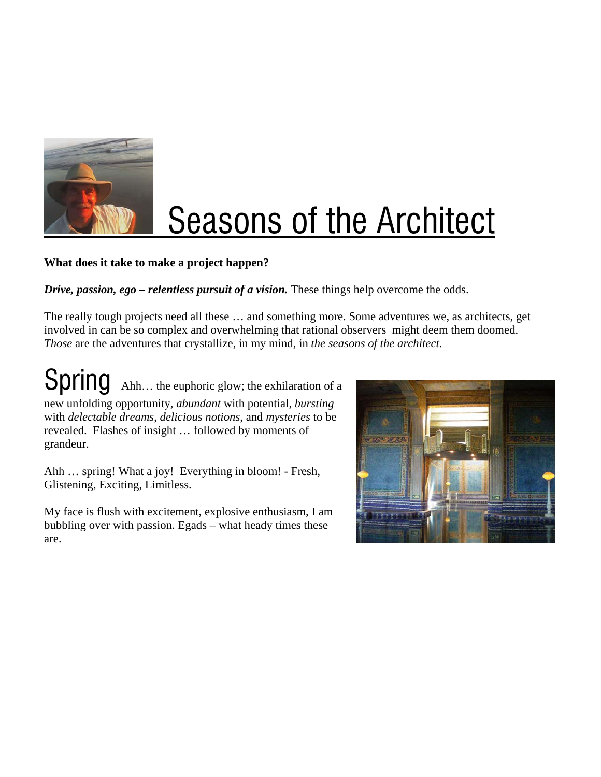

## **Seasons of the Architect**

## **What does it take to make a project happen?**

*Drive, passion, ego – relentless pursuit of a vision.* These things help overcome the odds.

The really tough projects need all these … and something more. Some adventures we, as architects, get involved in can be so complex and overwhelming that rational observers might deem them doomed. *Those* are the adventures that crystallize, in my mind, in *the seasons of the architect.* 

Spring Ahh... the euphoric glow; the exhilaration of a new unfolding opportunity, *abundant* with potential, *bursting* with *delectable dreams*, *delicious notions*, and *mysteries* to be revealed. Flashes of insight … followed by moments of grandeur.

Ahh … spring! What a joy! Everything in bloom! - Fresh, Glistening, Exciting, Limitless.

My face is flush with excitement, explosive enthusiasm, I am bubbling over with passion. Egads – what heady times these are.